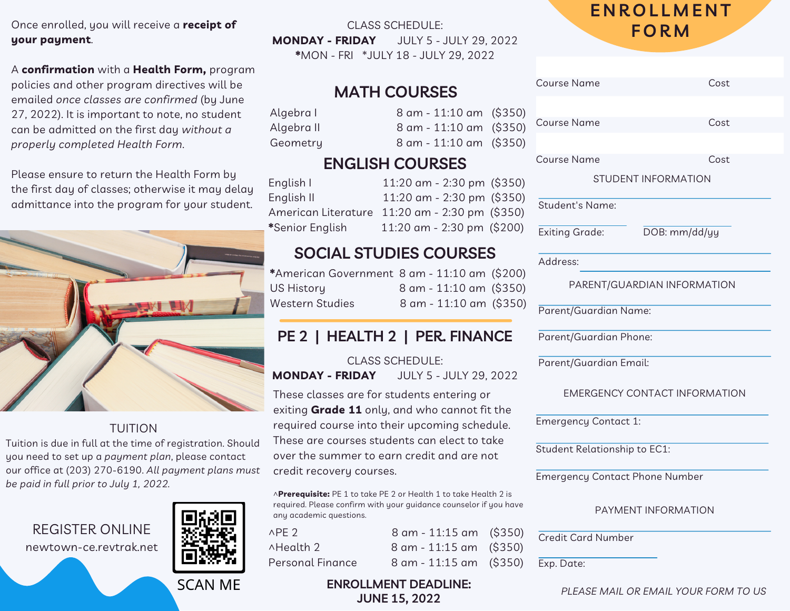#### Once enrolled, you will receive a **receipt of your payment**.

A **confirmation** with a **Health Form,** program policies and other program directives will be emailed *once classes are confirmed* (by June 27, 2022). It is important to note, no student can be admitted on the first day *without a properly completed Health Form*.

Please ensure to return the Health Form by the first day of classes; otherwise it may delay admittance into the program for your student.



#### TUITION

Tuition is due in full at the time of registration. Should you need to set up a *payment plan*, please contact our office at (203) 270-6190. *All payment plans must be paid in full prior to July 1, 2022.*

REGISTER ONLINE newtown-ce.revtrak.net



**SCAN ME** 

CLASS SCHEDULE: **MONDAY - FRIDAY** JULY 5 - JULY 29, 2022 **\***MON - FRI \*JULY 18 - JULY 29, 2022

### **MATH COURSES**

Algebra I 8 am - 11:10 am (\$35 Algebra II 8 am - 11:10 am (\$35) Geometry 8 am - 11:10 am (\$35)

### **ENGLISH COURSES**

English I 11:20 am - 2:30 pm (\$350) English II 11:20 am - 2:30 pm (\$35) American Literature 11:20 am - 2:30 pm (\$350) **\***Senior English 11:20 am - 2:30 pm (\$200)

### **SOCIAL STUDIES COURSES**

**\***American Government 8 am - 11:10 am (\$200) US History 8 am - 11:10 am (\$35 Western Studies 8 am - 11:10 am (\$35

### **PE 2 | HEALTH 2 | PER. FINANCE**

CLASS SCHEDULE: **MONDAY - FRIDAY** JULY 5 - JULY 29, 2022

These classes are for students entering or exiting **Grade 11** only, and who cannot fit the required course into their upcoming schedule. These are courses students can elect to take over the summer to earn credit and are not credit recovery courses.

^**Prerequisite:** PE 1 to take PE 2 or Health 1 to take Health 2 is required. Please confirm with your guidance counselor if you hav any academic questions.

| $\wedge$ PE 2    | 8 am - 11:15 am (\$350)   |  |
|------------------|---------------------------|--|
| ∧Health 2        | 8 am - 11:15 am (\$350)   |  |
| Personal Finance | $8$ am - 11:15 am (\$350) |  |

## **E N R O L L M E N T F O R M**

|                   | Course Name                           |                     | Cost |  |
|-------------------|---------------------------------------|---------------------|------|--|
| 0)                |                                       |                     |      |  |
| $\circ$           | <b>Course Name</b>                    |                     | Cost |  |
| $\circ$           |                                       |                     |      |  |
|                   | Course Name                           |                     | Cost |  |
| 0)                | STUDENT INFORMATION                   |                     |      |  |
| 0)<br>Э)          | <b>Student's Name:</b>                |                     |      |  |
| C                 | <b>Exiting Grade:</b>                 | DOB: mm/dd/yy       |      |  |
|                   | Address:                              |                     |      |  |
| 0)<br>0)          | PARENT/GUARDIAN INFORMATION           |                     |      |  |
| $\left( 0\right)$ | Parent/Guardian Name:                 |                     |      |  |
|                   |                                       |                     |      |  |
|                   | Parent/Guardian Email:                |                     |      |  |
|                   | <b>EMERGENCY CONTACT INFORMATION</b>  |                     |      |  |
|                   | <b>Emergency Contact 1:</b>           |                     |      |  |
|                   | <b>Student Relationship to EC1:</b>   |                     |      |  |
|                   | <b>Emergency Contact Phone Number</b> |                     |      |  |
| /e                |                                       | PAYMENT INFORMATION |      |  |
| CC<br>))          | <b>Credit Card Number</b>             |                     |      |  |
| ))                | Exp. Date:                            |                     |      |  |
|                   |                                       |                     |      |  |

#### **ENROLLMENT DEADLINE: JUNE 15, 2022**

*PLEASE MAIL OR EMAIL YOUR FORM TO US*